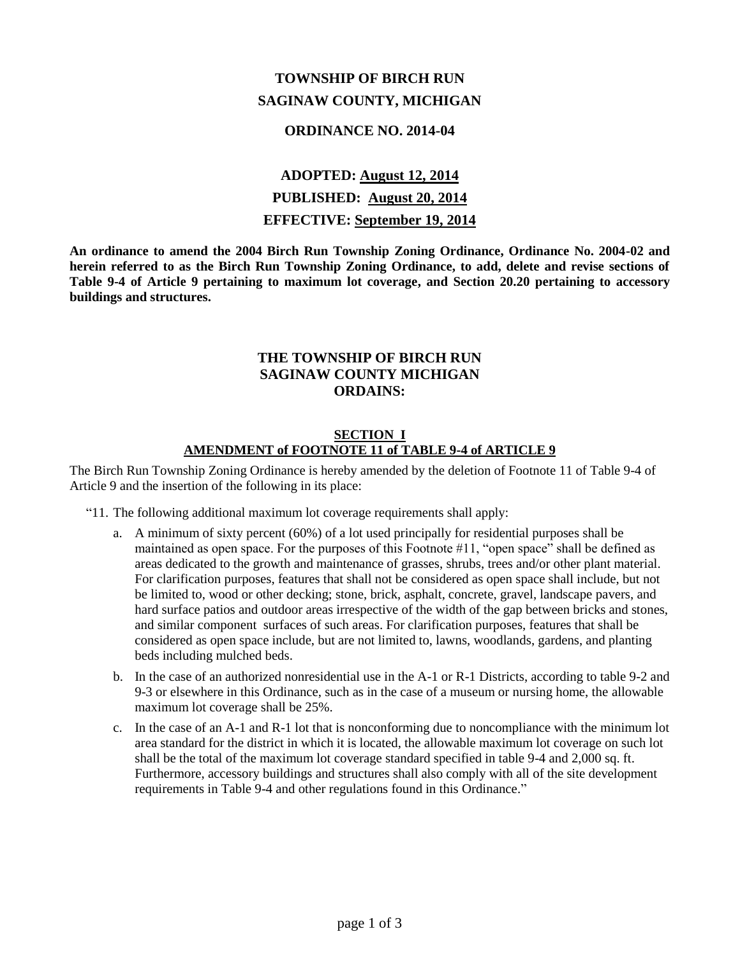# **TOWNSHIP OF BIRCH RUN SAGINAW COUNTY, MICHIGAN**

# **ORDINANCE NO. 2014-04**

# **ADOPTED: August 12, 2014 PUBLISHED: August 20, 2014 EFFECTIVE: September 19, 2014**

**An ordinance to amend the 2004 Birch Run Township Zoning Ordinance, Ordinance No. 2004-02 and herein referred to as the Birch Run Township Zoning Ordinance, to add, delete and revise sections of Table 9-4 of Article 9 pertaining to maximum lot coverage, and Section 20.20 pertaining to accessory buildings and structures.**

# **THE TOWNSHIP OF BIRCH RUN SAGINAW COUNTY MICHIGAN ORDAINS:**

### **SECTION I AMENDMENT of FOOTNOTE 11 of TABLE 9-4 of ARTICLE 9**

The Birch Run Township Zoning Ordinance is hereby amended by the deletion of Footnote 11 of Table 9-4 of Article 9 and the insertion of the following in its place:

- "11. The following additional maximum lot coverage requirements shall apply:
	- a. A minimum of sixty percent (60%) of a lot used principally for residential purposes shall be maintained as open space. For the purposes of this Footnote #11, "open space" shall be defined as areas dedicated to the growth and maintenance of grasses, shrubs, trees and/or other plant material. For clarification purposes, features that shall not be considered as open space shall include, but not be limited to, wood or other decking; stone, brick, asphalt, concrete, gravel, landscape pavers, and hard surface patios and outdoor areas irrespective of the width of the gap between bricks and stones, and similar component surfaces of such areas. For clarification purposes, features that shall be considered as open space include, but are not limited to, lawns, woodlands, gardens, and planting beds including mulched beds.
	- b. In the case of an authorized nonresidential use in the A-1 or R-1 Districts, according to table 9-2 and 9-3 or elsewhere in this Ordinance, such as in the case of a museum or nursing home, the allowable maximum lot coverage shall be 25%.
	- c. In the case of an A-1 and R-1 lot that is nonconforming due to noncompliance with the minimum lot area standard for the district in which it is located, the allowable maximum lot coverage on such lot shall be the total of the maximum lot coverage standard specified in table 9-4 and 2,000 sq. ft. Furthermore, accessory buildings and structures shall also comply with all of the site development requirements in Table 9-4 and other regulations found in this Ordinance."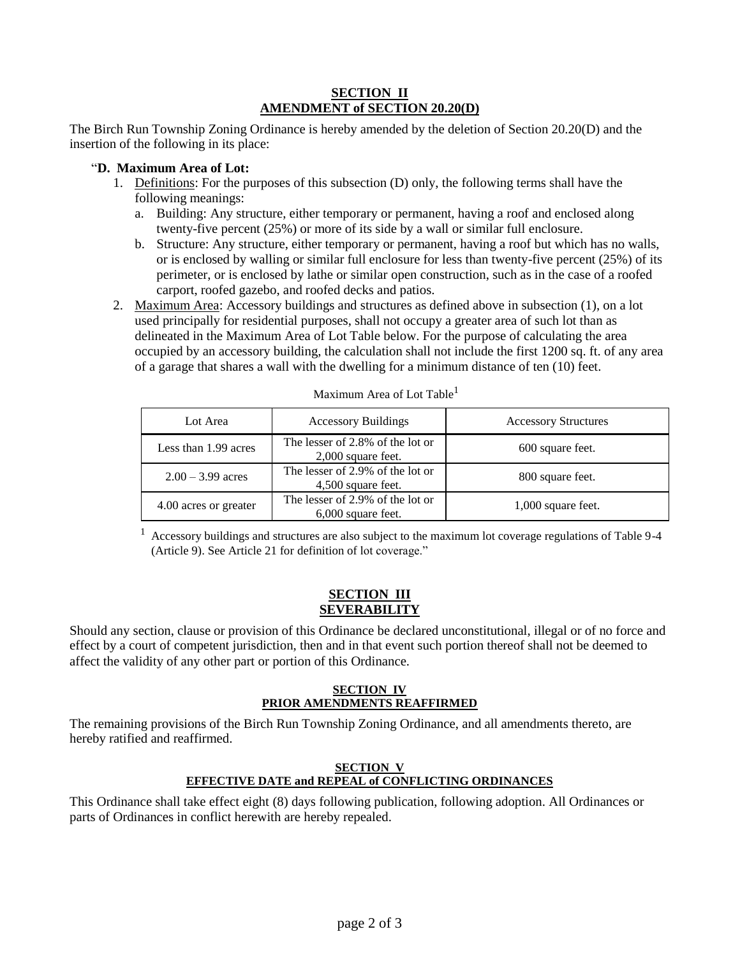#### **SECTION II AMENDMENT of SECTION 20.20(D)**

The Birch Run Township Zoning Ordinance is hereby amended by the deletion of Section 20.20(D) and the insertion of the following in its place:

# "**D. Maximum Area of Lot:**

- 1. Definitions: For the purposes of this subsection (D) only, the following terms shall have the following meanings:
	- a. Building: Any structure, either temporary or permanent, having a roof and enclosed along twenty-five percent (25%) or more of its side by a wall or similar full enclosure.
	- b. Structure: Any structure, either temporary or permanent, having a roof but which has no walls, or is enclosed by walling or similar full enclosure for less than twenty-five percent (25%) of its perimeter, or is enclosed by lathe or similar open construction, such as in the case of a roofed carport, roofed gazebo, and roofed decks and patios.
- 2. Maximum Area: Accessory buildings and structures as defined above in subsection (1), on a lot used principally for residential purposes, shall not occupy a greater area of such lot than as delineated in the Maximum Area of Lot Table below. For the purpose of calculating the area occupied by an accessory building, the calculation shall not include the first 1200 sq. ft. of any area of a garage that shares a wall with the dwelling for a minimum distance of ten (10) feet.

| Lot Area              | <b>Accessory Buildings</b>                               | <b>Accessory Structures</b> |
|-----------------------|----------------------------------------------------------|-----------------------------|
| Less than 1.99 acres  | The lesser of 2.8% of the lot or<br>$2,000$ square feet. | 600 square feet.            |
| $2.00 - 3.99$ acres   | The lesser of 2.9% of the lot or<br>4,500 square feet.   | 800 square feet.            |
| 4.00 acres or greater | The lesser of 2.9% of the lot or<br>6,000 square feet.   | $1,000$ square feet.        |

Maximum Area of Lot Table<sup>1</sup>

 $1$  Accessory buildings and structures are also subject to the maximum lot coverage regulations of Table 9-4 (Article 9). See Article 21 for definition of lot coverage."

#### **SECTION III SEVERABILITY**

Should any section, clause or provision of this Ordinance be declared unconstitutional, illegal or of no force and effect by a court of competent jurisdiction, then and in that event such portion thereof shall not be deemed to affect the validity of any other part or portion of this Ordinance.

#### **SECTION IV PRIOR AMENDMENTS REAFFIRMED**

The remaining provisions of the Birch Run Township Zoning Ordinance, and all amendments thereto, are hereby ratified and reaffirmed.

### **SECTION V EFFECTIVE DATE and REPEAL of CONFLICTING ORDINANCES**

This Ordinance shall take effect eight (8) days following publication, following adoption. All Ordinances or parts of Ordinances in conflict herewith are hereby repealed.